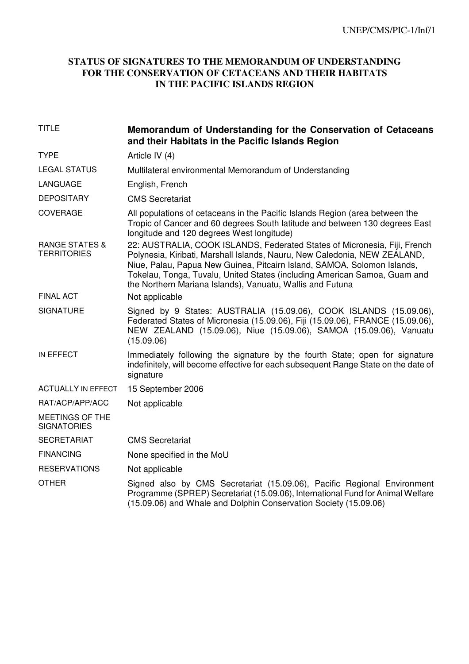## **STATUS OF SIGNATURES TO THE MEMORANDUM OF UNDERSTANDING FOR THE CONSERVATION OF CETACEANS AND THEIR HABITATS IN THE PACIFIC ISLANDS REGION**

| <b>TITLE</b>                                    | Memorandum of Understanding for the Conservation of Cetaceans<br>and their Habitats in the Pacific Islands Region                                                                                                                                                                                                                                                           |
|-------------------------------------------------|-----------------------------------------------------------------------------------------------------------------------------------------------------------------------------------------------------------------------------------------------------------------------------------------------------------------------------------------------------------------------------|
| <b>TYPE</b>                                     | Article IV (4)                                                                                                                                                                                                                                                                                                                                                              |
| <b>LEGAL STATUS</b>                             | Multilateral environmental Memorandum of Understanding                                                                                                                                                                                                                                                                                                                      |
| LANGUAGE                                        | English, French                                                                                                                                                                                                                                                                                                                                                             |
| <b>DEPOSITARY</b>                               | <b>CMS Secretariat</b>                                                                                                                                                                                                                                                                                                                                                      |
| <b>COVERAGE</b>                                 | All populations of cetaceans in the Pacific Islands Region (area between the<br>Tropic of Cancer and 60 degrees South latitude and between 130 degrees East<br>longitude and 120 degrees West longitude)                                                                                                                                                                    |
| <b>RANGE STATES &amp;</b><br><b>TERRITORIES</b> | 22: AUSTRALIA, COOK ISLANDS, Federated States of Micronesia, Fiji, French<br>Polynesia, Kiribati, Marshall Islands, Nauru, New Caledonia, NEW ZEALAND,<br>Niue, Palau, Papua New Guinea, Pitcairn Island, SAMOA, Solomon Islands,<br>Tokelau, Tonga, Tuvalu, United States (including American Samoa, Guam and<br>the Northern Mariana Islands), Vanuatu, Wallis and Futuna |
| <b>FINAL ACT</b>                                | Not applicable                                                                                                                                                                                                                                                                                                                                                              |
| <b>SIGNATURE</b>                                | Signed by 9 States: AUSTRALIA (15.09.06), COOK ISLANDS (15.09.06),<br>Federated States of Micronesia (15.09.06), Fiji (15.09.06), FRANCE (15.09.06),<br>NEW ZEALAND (15.09.06), Niue (15.09.06), SAMOA (15.09.06), Vanuatu<br>(15.09.06)                                                                                                                                    |
| IN EFFECT                                       | Immediately following the signature by the fourth State; open for signature<br>indefinitely, will become effective for each subsequent Range State on the date of<br>signature                                                                                                                                                                                              |
| <b>ACTUALLY IN EFFECT</b>                       | 15 September 2006                                                                                                                                                                                                                                                                                                                                                           |
| RAT/ACP/APP/ACC                                 | Not applicable                                                                                                                                                                                                                                                                                                                                                              |
| MEETINGS OF THE<br><b>SIGNATORIES</b>           |                                                                                                                                                                                                                                                                                                                                                                             |
| <b>SECRETARIAT</b>                              | <b>CMS Secretariat</b>                                                                                                                                                                                                                                                                                                                                                      |
| <b>FINANCING</b>                                | None specified in the MoU                                                                                                                                                                                                                                                                                                                                                   |
| <b>RESERVATIONS</b>                             | Not applicable                                                                                                                                                                                                                                                                                                                                                              |
| <b>OTHER</b>                                    | Signed also by CMS Secretariat (15.09.06), Pacific Regional Environment<br>Programme (SPREP) Secretariat (15.09.06), International Fund for Animal Welfare<br>(15.09.06) and Whale and Dolphin Conservation Society (15.09.06)                                                                                                                                              |